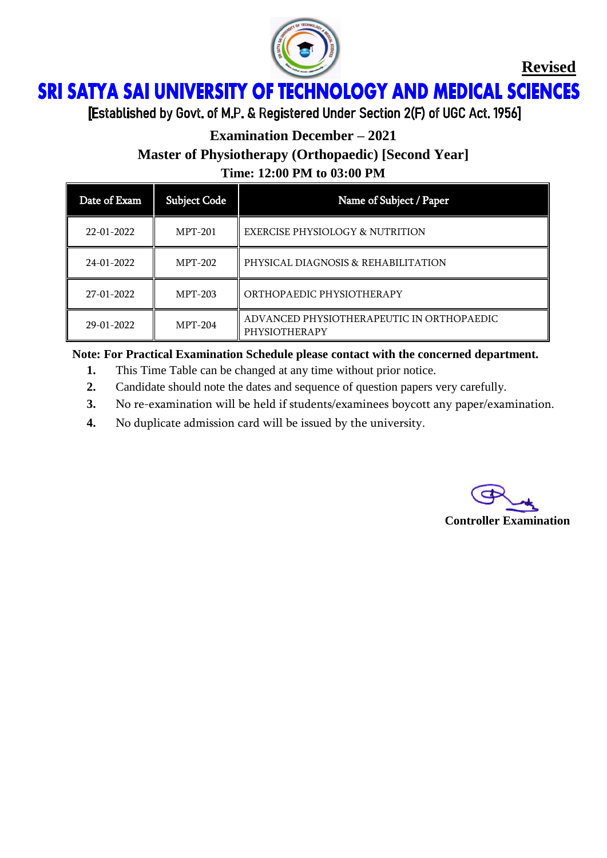

**Revised**

## ì Ï

[Established by Govt. of M.P. & Registered Under Section 2(F) of UGC Act. 1956]

## **Examination December – 2021**

**Master of Physiotherapy (Orthopaedic) [Second Year]**

**Time: 12:00 PM to 03:00 PM**

| Date of Exam | <b>Subject Code</b> | Name of Subject / Paper                                    |
|--------------|---------------------|------------------------------------------------------------|
| 22-01-2022   | <b>MPT-201</b>      | <b>EXERCISE PHYSIOLOGY &amp; NUTRITION</b>                 |
| 24-01-2022   | <b>MPT-202</b>      | PHYSICAL DIAGNOSIS & REHABILITATION                        |
| 27-01-2022   | <b>MPT-203</b>      | ORTHOPAEDIC PHYSIOTHERAPY                                  |
| 29-01-2022   | <b>MPT-204</b>      | ADVANCED PHYSIOTHERAPEUTIC IN ORTHOPAEDIC<br>PHYSIOTHERAPY |

#### **Note: For Practical Examination Schedule please contact with the concerned department.**

- **1.** This Time Table can be changed at any time without prior notice.
- **2.** Candidate should note the dates and sequence of question papers very carefully.
- **3.** No re-examination will be held if students/examinees boycott any paper/examination.
- **4.** No duplicate admission card will be issued by the university.